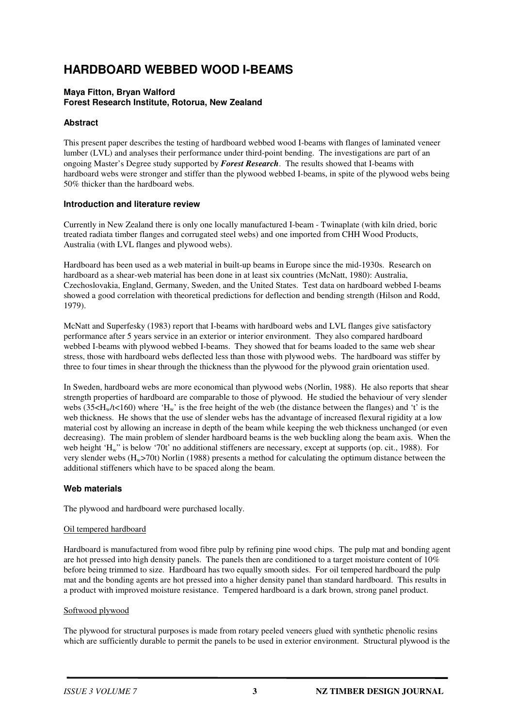# **HARDBOARD WEBBED WOOD I-BEAMS**

## **Maya Fitton, Bryan Walford Forest Research Institute, Rotorua, New Zealand**

## **Abstract**

This present paper describes the testing of hardboard webbed wood I-beams with flanges of laminated veneer lumber (LVL) and analyses their performance under third-point bending. The investigations are part of an ongoing Master's Degree study supported by *Forest Research*. The results showed that I-beams with hardboard webs were stronger and stiffer than the plywood webbed I-beams, in spite of the plywood webs being 50% thicker than the hardboard webs.

## **Introduction and literature review**

Currently in New Zealand there is only one locally manufactured I-beam - Twinaplate (with kiln dried, boric treated radiata timber flanges and corrugated steel webs) and one imported from CHH Wood Products, Australia (with LVL flanges and plywood webs).

Hardboard has been used as a web material in built-up beams in Europe since the mid-1930s. Research on hardboard as a shear-web material has been done in at least six countries (McNatt, 1980): Australia, Czechoslovakia, England, Germany, Sweden, and the United States. Test data on hardboard webbed I-beams showed a good correlation with theoretical predictions for deflection and bending strength (Hilson and Rodd, 1979).

McNatt and Superfesky (1983) report that I-beams with hardboard webs and LVL flanges give satisfactory performance after 5 years service in an exterior or interior environment. They also compared hardboard webbed I-beams with plywood webbed I-beams. They showed that for beams loaded to the same web shear stress, those with hardboard webs deflected less than those with plywood webs. The hardboard was stiffer by three to four times in shear through the thickness than the plywood for the plywood grain orientation used.

In Sweden, hardboard webs are more economical than plywood webs (Norlin, 1988). He also reports that shear strength properties of hardboard are comparable to those of plywood. He studied the behaviour of very slender webs  $(35\leq H_w/t \leq 160)$  where 'H<sub>w</sub>' is the free height of the web (the distance between the flanges) and 't' is the web thickness. He shows that the use of slender webs has the advantage of increased flexural rigidity at a low material cost by allowing an increase in depth of the beam while keeping the web thickness unchanged (or even decreasing). The main problem of slender hardboard beams is the web buckling along the beam axis. When the web height 'H<sub>w</sub>" is below '70t' no additional stiffeners are necessary, except at supports (op. cit., 1988). For very slender webs  $(H_w>70t)$  Norlin (1988) presents a method for calculating the optimum distance between the additional stiffeners which have to be spaced along the beam.

## **Web materials**

The plywood and hardboard were purchased locally.

#### Oil tempered hardboard

Hardboard is manufactured from wood fibre pulp by refining pine wood chips. The pulp mat and bonding agent are hot pressed into high density panels. The panels then are conditioned to a target moisture content of 10% before being trimmed to size. Hardboard has two equally smooth sides. For oil tempered hardboard the pulp mat and the bonding agents are hot pressed into a higher density panel than standard hardboard. This results in a product with improved moisture resistance. Tempered hardboard is a dark brown, strong panel product.

#### Softwood plywood

The plywood for structural purposes is made from rotary peeled veneers glued with synthetic phenolic resins which are sufficiently durable to permit the panels to be used in exterior environment. Structural plywood is the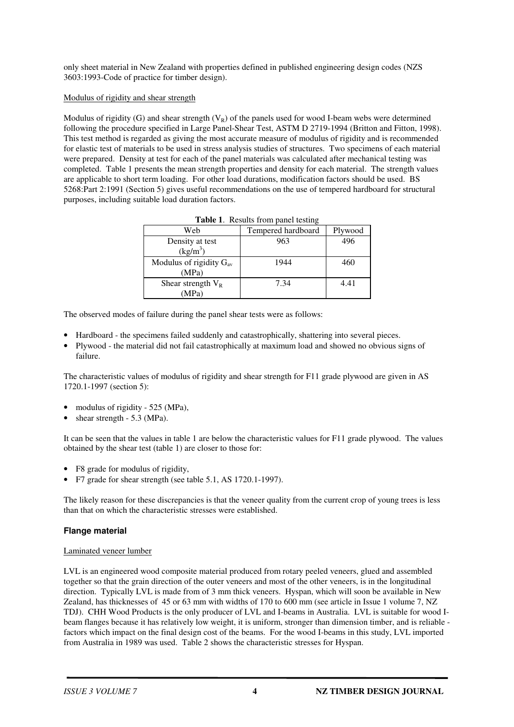only sheet material in New Zealand with properties defined in published engineering design codes (NZS 3603:1993-Code of practice for timber design).

## Modulus of rigidity and shear strength

Modulus of rigidity (G) and shear strength  $(V_R)$  of the panels used for wood I-beam webs were determined following the procedure specified in Large Panel-Shear Test, ASTM D 2719-1994 (Britton and Fitton, 1998). This test method is regarded as giving the most accurate measure of modulus of rigidity and is recommended for elastic test of materials to be used in stress analysis studies of structures. Two specimens of each material were prepared. Density at test for each of the panel materials was calculated after mechanical testing was completed. Table 1 presents the mean strength properties and density for each material. The strength values are applicable to short term loading. For other load durations, modification factors should be used. BS 5268:Part 2:1991 (Section 5) gives useful recommendations on the use of tempered hardboard for structural purposes, including suitable load duration factors.

| Web                          | Tempered hardboard | Plywood |  |  |  |  |
|------------------------------|--------------------|---------|--|--|--|--|
| Density at test              | 963                | 496     |  |  |  |  |
| $(kg/m^3)$                   |                    |         |  |  |  |  |
| Modulus of rigidity $G_{av}$ | 1944               | 460     |  |  |  |  |
| (MPa)                        |                    |         |  |  |  |  |
| Shear strength $V_R$         | 7.34               | 4.41    |  |  |  |  |
| MPa`                         |                    |         |  |  |  |  |

**Table 1**. Results from panel testing

The observed modes of failure during the panel shear tests were as follows:

- Hardboard the specimens failed suddenly and catastrophically, shattering into several pieces.
- Plywood the material did not fail catastrophically at maximum load and showed no obvious signs of failure.

The characteristic values of modulus of rigidity and shear strength for F11 grade plywood are given in AS 1720.1-1997 (section 5):

- modulus of rigidity 525 (MPa),
- shear strength 5.3 (MPa).

It can be seen that the values in table 1 are below the characteristic values for F11 grade plywood. The values obtained by the shear test (table 1) are closer to those for:

- F8 grade for modulus of rigidity,
- F7 grade for shear strength (see table 5.1, AS 1720.1-1997).

The likely reason for these discrepancies is that the veneer quality from the current crop of young trees is less than that on which the characteristic stresses were established.

## **Flange material**

#### Laminated veneer lumber

LVL is an engineered wood composite material produced from rotary peeled veneers, glued and assembled together so that the grain direction of the outer veneers and most of the other veneers, is in the longitudinal direction. Typically LVL is made from of 3 mm thick veneers. Hyspan, which will soon be available in New Zealand, has thicknesses of 45 or 63 mm with widths of 170 to 600 mm (see article in Issue 1 volume 7, NZ TDJ). CHH Wood Products is the only producer of LVL and I-beams in Australia. LVL is suitable for wood Ibeam flanges because it has relatively low weight, it is uniform, stronger than dimension timber, and is reliable factors which impact on the final design cost of the beams. For the wood I-beams in this study, LVL imported from Australia in 1989 was used. Table 2 shows the characteristic stresses for Hyspan.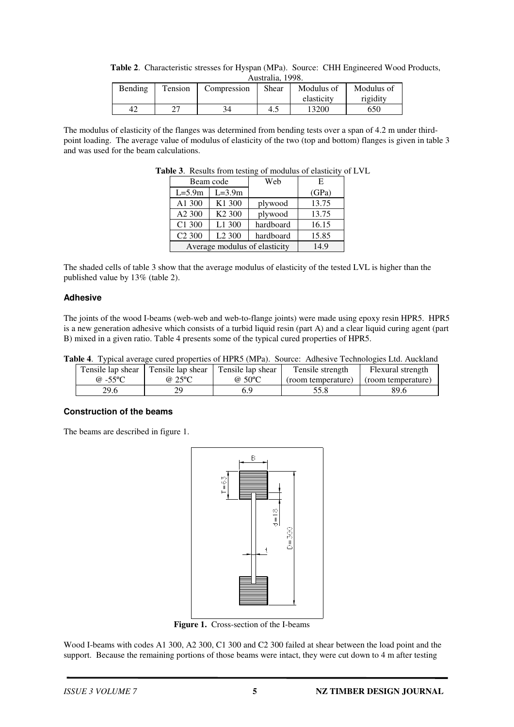| Table 2. Characteristic stresses for Hyspan (MPa). Source: CHH Engineered Wood Products, |  |
|------------------------------------------------------------------------------------------|--|
| Australia, 1998.                                                                         |  |

| Bending | Tension | Compression | Shear | Modulus of | Modulus of |
|---------|---------|-------------|-------|------------|------------|
|         |         |             |       | elasticity | rigidity   |
| 42      | דר      |             | 4.5   | 13200      | 650        |

The modulus of elasticity of the flanges was determined from bending tests over a span of 4.2 m under thirdpoint loading. The average value of modulus of elasticity of the two (top and bottom) flanges is given in table 3 and was used for the beam calculations.

|                               | Beam code          | Web       | E     |
|-------------------------------|--------------------|-----------|-------|
| $L=5.9m$                      | $L=3.9m$           |           | (GPa) |
| A1 300                        | K <sub>1</sub> 300 | plywood   | 13.75 |
| A <sub>2</sub> 300            | K <sub>2</sub> 300 | plywood   | 13.75 |
| C1 300                        | L1 300             | hardboard | 16.15 |
| C <sub>2</sub> 300            | L <sub>2</sub> 300 | hardboard | 15.85 |
| Average modulus of elasticity | 14.9               |           |       |

**Table 3**. Results from testing of modulus of elasticity of LVL

The shaded cells of table 3 show that the average modulus of elasticity of the tested LVL is higher than the published value by 13% (table 2).

#### **Adhesive**

The joints of the wood I-beams (web-web and web-to-flange joints) were made using epoxy resin HPR5. HPR5 is a new generation adhesive which consists of a turbid liquid resin (part A) and a clear liquid curing agent (part B) mixed in a given ratio. Table 4 presents some of the typical cured properties of HPR5.

|  | <b>Table 4.</b> Typical average cured properties of HPR5 (MPa). Source: Adhesive Technologies Ltd. Auckland |  |  |  |  |  |  |  |
|--|-------------------------------------------------------------------------------------------------------------|--|--|--|--|--|--|--|
|--|-------------------------------------------------------------------------------------------------------------|--|--|--|--|--|--|--|

| Tensile lap shear | Tensile lap shear | Tensile lap shear | Tensile strength   | Flexural strength  |
|-------------------|-------------------|-------------------|--------------------|--------------------|
| @ $-55^{\circ}$ C | @25°C             | $@50^{\circ}C$    | (room temperature) | (room temperature) |
| 29.6              | 79                | 6.9               | 55.8               | 89.6               |

## **Construction of the beams**

The beams are described in figure 1.



**Figure 1.** Cross-section of the I-beams

Wood I-beams with codes A1 300, A2 300, C1 300 and C2 300 failed at shear between the load point and the support. Because the remaining portions of those beams were intact, they were cut down to 4 m after testing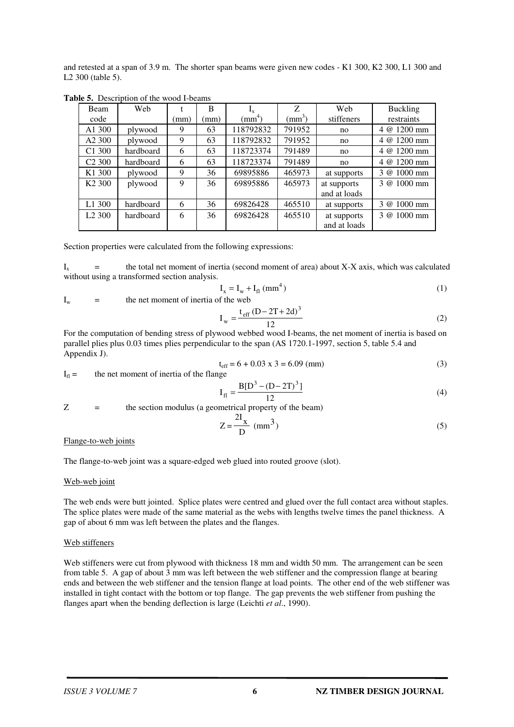and retested at a span of 3.9 m. The shorter span beams were given new codes - K1 300, K2 300, L1 300 and L2 300 (table 5).

| <b>Beam</b>        | Web       |      | B    | $I_{x}$            | Z.              | Web          | <b>Buckling</b>    |
|--------------------|-----------|------|------|--------------------|-----------------|--------------|--------------------|
| code               |           | (mm) | (mm) | (mm <sup>4</sup> ) | $\text{(mm}^3)$ | stiffeners   | restraints         |
| A1 300             | plywood   | 9    | 63   | 118792832          | 791952          | no           | $4 \omega$ 1200 mm |
| A <sub>2</sub> 300 | plywood   | 9    | 63   | 118792832          | 791952          | no           | 4 @ 1200 mm        |
| C <sub>1</sub> 300 | hardboard | 6    | 63   | 118723374          | 791489          | no           | 4 @ 1200 mm        |
| C <sub>2</sub> 300 | hardboard | 6    | 63   | 118723374          | 791489          | no           | 4 @ 1200 mm        |
| K <sub>1</sub> 300 | plywood   | 9    | 36   | 69895886           | 465973          | at supports  | 3 @ 1000 mm        |
| K <sub>2</sub> 300 | plywood   | 9    | 36   | 69895886           | 465973          | at supports  | 3 @ 1000 mm        |
|                    |           |      |      |                    |                 | and at loads |                    |
| L <sub>1</sub> 300 | hardboard | 6    | 36   | 69826428           | 465510          | at supports  | 3 @ 1000 mm        |
| L2300              | hardboard | 6    | 36   | 69826428           | 465510          | at supports  | 3 @ 1000 mm        |
|                    |           |      |      |                    |                 | and at loads |                    |

**Table 5.** Description of the wood I-beams

Section properties were calculated from the following expressions:

 $I_x$  = the total net moment of inertia (second moment of area) about X-X axis, which was calculated without using a transformed section analysis.

$$
I_x = I_w + I_{fl} (mm^4)
$$
 (1)

$$
I_w = \qquad \qquad the net moment of inertia of the web
$$

$$
I_{w} = \frac{t_{eff} (D - 2T + 2d)^{3}}{12}
$$
 (2)

For the computation of bending stress of plywood webbed wood I-beams, the net moment of inertia is based on parallel plies plus 0.03 times plies perpendicular to the span (AS 1720.1-1997, section 5, table 5.4 and Appendix J).

$$
t_{eff} = 6 + 0.03 \times 3 = 6.09 \text{ (mm)}
$$
 (3)

 $I_{\rm fl}$  = the net moment of inertia of the flange

$$
I_{\rm fl} = \frac{B[D^3 - (D - 2T)^3]}{12}
$$
 (4)

Z = the section modulus (a geometrical property of the beam)

$$
Z = \frac{2I_x}{D} \text{ (mm}^3)
$$
 (5)

#### Flange-to-web joints

The flange-to-web joint was a square-edged web glued into routed groove (slot).

#### Web-web joint

The web ends were butt jointed. Splice plates were centred and glued over the full contact area without staples. The splice plates were made of the same material as the webs with lengths twelve times the panel thickness. A gap of about 6 mm was left between the plates and the flanges.

#### Web stiffeners

Web stiffeners were cut from plywood with thickness 18 mm and width 50 mm. The arrangement can be seen from table 5. A gap of about 3 mm was left between the web stiffener and the compression flange at bearing ends and between the web stiffener and the tension flange at load points. The other end of the web stiffener was installed in tight contact with the bottom or top flange. The gap prevents the web stiffener from pushing the flanges apart when the bending deflection is large (Leichti *et al*., 1990).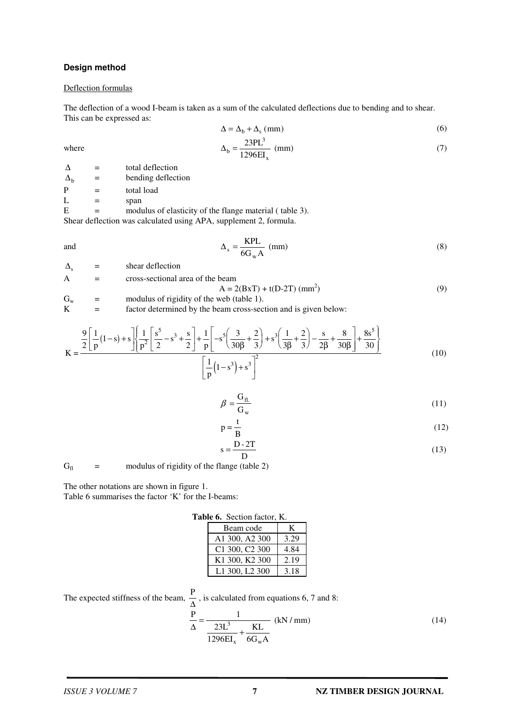### **Design method**

#### Deflection formulas

The deflection of a wood I-beam is taken as a sum of the calculated deflections due to bending and to shear. This can be expressed as:

$$
\Delta = \Delta_{\rm b} + \Delta_{\rm s} \text{ (mm)} \tag{6}
$$

$$
\Delta_{\rm b} = \frac{23 \text{PL}^3}{1296 \text{EI}_{\rm x}} \text{ (mm)}\tag{7}
$$

where  $\Delta_b$ 

 $\Delta$  = total deflection  $\Delta_b$  = bending deflection  $P =$  total load  $L =$  span  $E$  = modulus of elasticity of the flange material ( table 3). Shear deflection was calculated using APA, supplement 2, formula.

> KPL  $=\frac{1}{6G_w A}$  (mm) (8)

and  $\Delta_s$ 

w  $\Delta_{s}$  = shear deflection A = cross-sectional area of the beam  $A = 2(BxT) + t(D-2T)$  (mm<sup>2</sup>)  $)$  (9)  $G_w$  = modulus of rigidity of the web (table 1).<br>  $K$  = factor determined by the beam cross-sec = factor determined by the beam cross-section and is given below:

$$
K = \frac{\frac{9}{2} \left[ \frac{1}{p} (1-s) + s \right] \left[ \frac{1}{p^2} \left[ \frac{s^5}{2} - s^3 + \frac{s}{2} \right] + \frac{1}{p} \left[ -s^5 \left( \frac{3}{30\beta} + \frac{2}{3} \right) + s^3 \left( \frac{1}{3\beta} + \frac{2}{3} \right) - \frac{s}{2\beta} + \frac{8}{30\beta} \right] + \frac{8s^5}{30} \right]}{\left[ \frac{1}{p} (1-s^3) + s^3 \right]^2}
$$
(10)

$$
\beta = \frac{G_{\text{fl.}}}{G_{\text{w}}}
$$
\n(11)

$$
p = \frac{t}{B} \tag{12}
$$

$$
s = \frac{D - 2T}{D} \tag{13}
$$

 $G<sub>fl</sub>$  = modulus of rigidity of the flange (table 2)

The other notations are shown in figure 1.

Table 6 summarises the factor 'K' for the I-beams:

| Table 6. Section factor, K. |      |
|-----------------------------|------|
| Beam code                   | K    |
| A1 300, A2 300              | 3.29 |
| C1 300, C2 300              | 4.84 |
| K1 300, K2 300              | 2.19 |
| L1 300, L2 300              | 3.18 |

The expected stiffness of the beam, 
$$
\frac{P}{\Delta}
$$
, is calculated from equations 6, 7 and 8:  

$$
\frac{P}{\Delta} = \frac{1}{\frac{23L^3}{1296EI_x} + \frac{KL}{6G_wA}}
$$
(kN/mm) (14)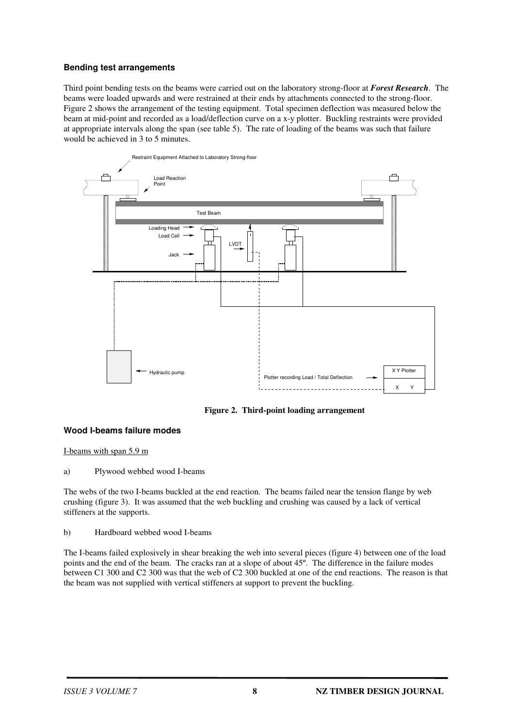# **Bending test arrangements**

Third point bending tests on the beams were carried out on the laboratory strong-floor at *Forest Research*. The beams were loaded upwards and were restrained at their ends by attachments connected to the strong-floor. Figure 2 shows the arrangement of the testing equipment. Total specimen deflection was measured below the beam at mid-point and recorded as a load/deflection curve on a x-y plotter. Buckling restraints were provided at appropriate intervals along the span (see table 5). The rate of loading of the beams was such that failure would be achieved in 3 to 5 minutes.



**Figure 2. Third-point loading arrangement**

## **Wood I-beams failure modes**

I-beams with span 5.9 m

a) Plywood webbed wood I-beams

The webs of the two I-beams buckled at the end reaction. The beams failed near the tension flange by web crushing (figure 3). It was assumed that the web buckling and crushing was caused by a lack of vertical stiffeners at the supports.

#### b) Hardboard webbed wood I-beams

The I-beams failed explosively in shear breaking the web into several pieces (figure 4) between one of the load points and the end of the beam. The cracks ran at a slope of about 45º. The difference in the failure modes between C1 300 and C2 300 was that the web of C2 300 buckled at one of the end reactions. The reason is that the beam was not supplied with vertical stiffeners at support to prevent the buckling.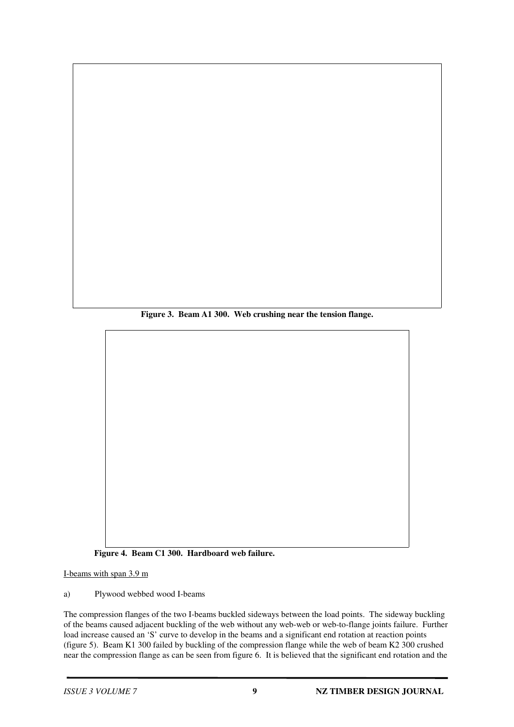**Figure 3. Beam A1 300. Web crushing near the tension flange.**

**Figure 4. Beam C1 300. Hardboard web failure.**

I-beams with span 3.9 m

a) Plywood webbed wood I-beams

The compression flanges of the two I-beams buckled sideways between the load points. The sideway buckling of the beams caused adjacent buckling of the web without any web-web or web-to-flange joints failure. Further load increase caused an 'S' curve to develop in the beams and a significant end rotation at reaction points (figure 5). Beam K1 300 failed by buckling of the compression flange while the web of beam K2 300 crushed near the compression flange as can be seen from figure 6. It is believed that the significant end rotation and the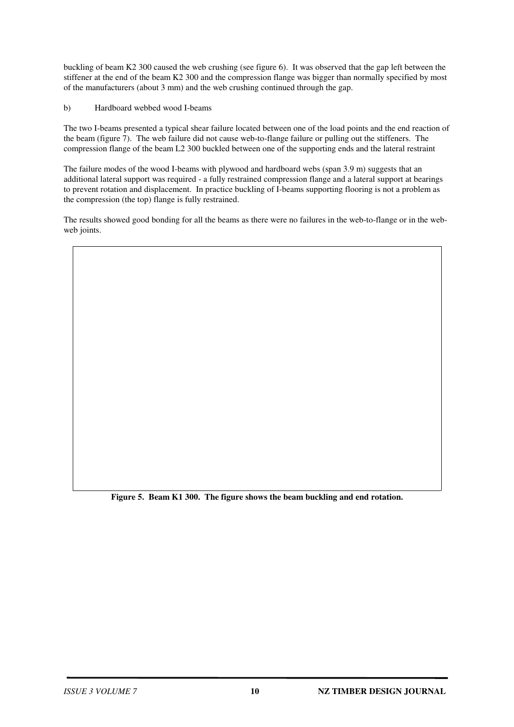buckling of beam K2 300 caused the web crushing (see figure 6). It was observed that the gap left between the stiffener at the end of the beam K2 300 and the compression flange was bigger than normally specified by most of the manufacturers (about 3 mm) and the web crushing continued through the gap.

b) Hardboard webbed wood I-beams

The two I-beams presented a typical shear failure located between one of the load points and the end reaction of the beam (figure 7). The web failure did not cause web-to-flange failure or pulling out the stiffeners. The compression flange of the beam L2 300 buckled between one of the supporting ends and the lateral restraint

The failure modes of the wood I-beams with plywood and hardboard webs (span 3.9 m) suggests that an additional lateral support was required - a fully restrained compression flange and a lateral support at bearings to prevent rotation and displacement. In practice buckling of I-beams supporting flooring is not a problem as the compression (the top) flange is fully restrained.

The results showed good bonding for all the beams as there were no failures in the web-to-flange or in the webweb joints.

**Figure 5. Beam K1 300. The figure shows the beam buckling and end rotation.**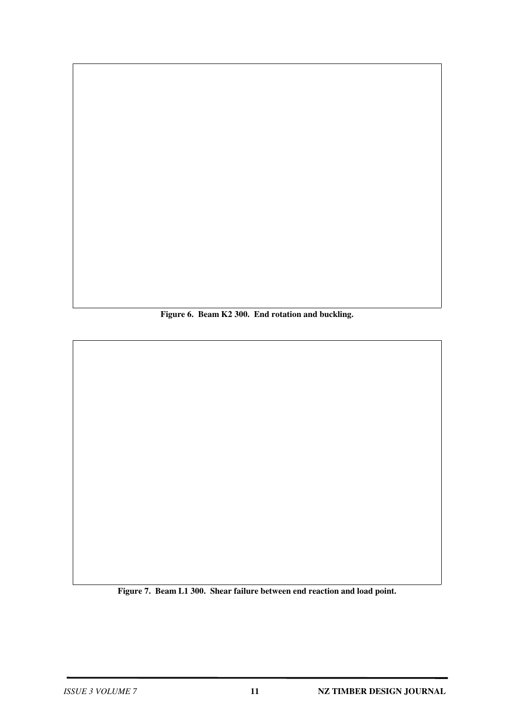**Figure 6. Beam K2 300. End rotation and buckling.**

**Figure 7. Beam L1 300. Shear failure between end reaction and load point.**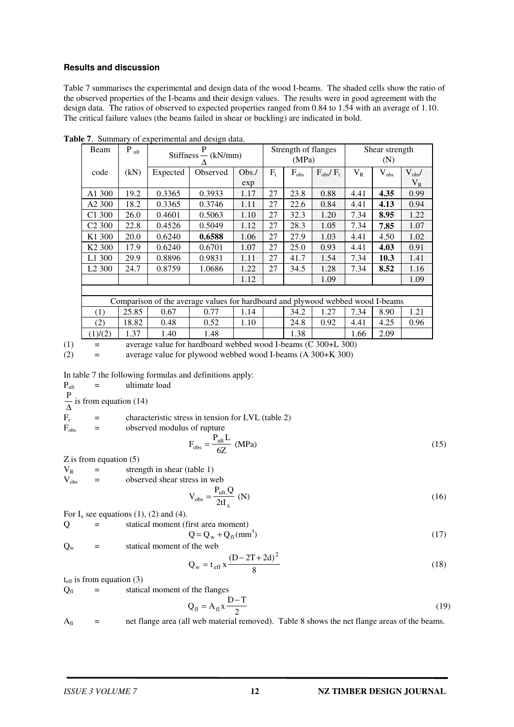#### **Results and discussion**

Table 7 summarises the experimental and design data of the wood I-beams. The shaded cells show the ratio of the observed properties of the I-beams and their design values. The results were in good agreement with the design data. The ratios of observed to expected properties ranged from 0.84 to 1.54 with an average of 1.10. The critical failure values (the beams failed in shear or buckling) are indicated in bold.

| Beam               | $P_{ult}$ | P<br>$Stiffness - (kN/mm)$                                                     |          |      |       | Strength of flanges<br>(MPa) |                         |         | Shear strength<br>(N) |             |  |
|--------------------|-----------|--------------------------------------------------------------------------------|----------|------|-------|------------------------------|-------------------------|---------|-----------------------|-------------|--|
| code               | (kN)      | Expected                                                                       | Observed | Obs. | $F_t$ | $F_{obs}$                    | $F_{\rm obs}/F_{\rm t}$ | $V_{R}$ | $V_{obs}$             | $V_{obs}$ / |  |
|                    |           |                                                                                |          | exp  |       |                              |                         |         |                       | $\rm V_R$   |  |
| A1 300             | 19.2      | 0.3365                                                                         | 0.3933   | 1.17 | 27    | 23.8                         | 0.88                    | 4.41    | 4.35                  | 0.99        |  |
| A <sub>2</sub> 300 | 18.2      | 0.3365                                                                         | 0.3746   | 1.11 | 27    | 22.6                         | 0.84                    | 4.41    | 4.13                  | 0.94        |  |
| C <sub>1</sub> 300 | 26.0      | 0.4601                                                                         | 0.5063   | 1.10 | 27    | 32.3                         | 1.20                    | 7.34    | 8.95                  | 1.22        |  |
| C <sub>2</sub> 300 | 22.8      | 0.4526                                                                         | 0.5049   | 1.12 | 27    | 28.3                         | 1.05                    | 7.34    | 7.85                  | 1.07        |  |
| K <sub>1</sub> 300 | 20.0      | 0.6240                                                                         | 0.6588   | 1.06 | 27    | 27.9                         | 1.03                    | 4.41    | 4.50                  | 1.02        |  |
| K <sub>2</sub> 300 | 17.9      | 0.6240                                                                         | 0.6701   | 1.07 | 27    | 25.0                         | 0.93                    | 4.41    | 4.03                  | 0.91        |  |
| L1 300             | 29.9      | 0.8896                                                                         | 0.9831   | 1.11 | 27    | 41.7                         | 1.54                    | 7.34    | 10.3                  | 1.41        |  |
| L <sub>2</sub> 300 | 24.7      | 0.8759                                                                         | 1.0686   | 1.22 | 27    | 34.5                         | 1.28                    | 7.34    | 8.52                  | 1.16        |  |
|                    |           |                                                                                |          | 1.12 |       |                              | 1.09                    |         |                       | 1.09        |  |
|                    |           |                                                                                |          |      |       |                              |                         |         |                       |             |  |
|                    |           | Comparison of the average values for hardboard and plywood webbed wood I-beams |          |      |       |                              |                         |         |                       |             |  |
| (1)                | 25.85     | 0.67                                                                           | 0.77     | 1.14 |       | 34.2                         | 1.27                    | 7.34    | 8.90                  | 1.21        |  |
| (2)                | 18.82     | 0.48                                                                           | 0.52     | 1.10 |       | 24.8                         | 0.92                    | 4.41    | 4.25                  | 0.96        |  |
| (1)/(2)            | 1.37      | 1.40                                                                           | 1.48     |      |       | 1.38                         |                         | 1.66    | 2.09                  |             |  |

**Table 7**. Summary of experimental and design data.

(1)  $=$  average value for hardboard webbed wood I-beams (C 300+L 300) (2) = average value for plywood webbed wood I-beams (A 300+K 300)

In table 7 the following formulas and definitions apply:

| $P_{ult}$                                | = | ultimate load                                      |
|------------------------------------------|---|----------------------------------------------------|
| $\frac{P}{\Delta}$ is from equation (14) |   |                                                    |
| $F_t$                                    | = | characteristic stress in tension for LVL (table 2) |
| $F_{obs}$                                | = | observed modulus of rupture                        |
| $P_{ult}$ L                              |   |                                                    |

$$
F_{obs} = \frac{P_{ult} L}{6Z} \text{ (MPa)}\tag{15}
$$

Z is from equation (5)

 $V_R$  = strength in shear (table 1)<br> $V_{obs}$  = observed shear stress in w

 $=$  observed shear stress in web

$$
V_{obs} = \frac{P_{ult} Q}{2t I_x} (N)
$$
 (16)

For  $I_x$  see equations (1), (2) and (4).

Q = statical moment (first area moment)  $Q = Q_w + Q_{fl} (mm^3)$  $)$  (17)

 $Q_w$  = statical moment of the web

$$
Q_w = t_{eff} x \frac{(D - 2T + 2d)^2}{8}
$$
 (18)

 $t_{\text{eff}}$  is from equation (3)

 $Q<sub>fl</sub>$  = statical moment of the flanges

$$
Q_{fl} = A_{fl} x \frac{D - T}{2}
$$
 (19)

 $A_{fl}$  = net flange area (all web material removed). Table 8 shows the net flange areas of the beams.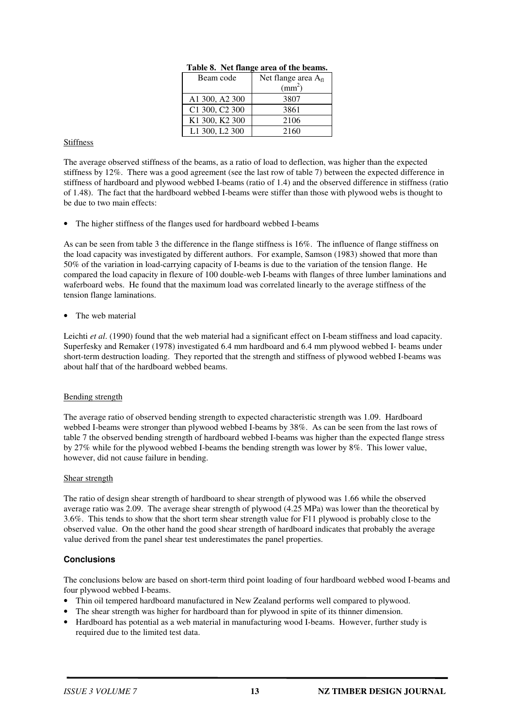| Beam code                              | Net flange area $A_{fl}$ |
|----------------------------------------|--------------------------|
|                                        | $\text{mm}^2$ )          |
| A1 300, A2 300                         | 3807                     |
| C1 300, C2 300                         | 3861                     |
| K <sub>1</sub> 300, K <sub>2</sub> 300 | 2106                     |
| L1 300, L2 300                         | 2160                     |

#### **Table 8. Net flange area of the beams.**

#### Stiffness

The average observed stiffness of the beams, as a ratio of load to deflection, was higher than the expected stiffness by 12%. There was a good agreement (see the last row of table 7) between the expected difference in stiffness of hardboard and plywood webbed I-beams (ratio of 1.4) and the observed difference in stiffness (ratio of 1.48). The fact that the hardboard webbed I-beams were stiffer than those with plywood webs is thought to be due to two main effects:

• The higher stiffness of the flanges used for hardboard webbed I-beams

As can be seen from table 3 the difference in the flange stiffness is 16%. The influence of flange stiffness on the load capacity was investigated by different authors. For example, Samson (1983) showed that more than 50% of the variation in load-carrying capacity of I-beams is due to the variation of the tension flange. He compared the load capacity in flexure of 100 double-web I-beams with flanges of three lumber laminations and waferboard webs. He found that the maximum load was correlated linearly to the average stiffness of the tension flange laminations.

#### The web material

Leichti *et al.* (1990) found that the web material had a significant effect on I-beam stiffness and load capacity. Superfesky and Remaker (1978) investigated 6.4 mm hardboard and 6.4 mm plywood webbed I- beams under short-term destruction loading. They reported that the strength and stiffness of plywood webbed I-beams was about half that of the hardboard webbed beams.

#### Bending strength

The average ratio of observed bending strength to expected characteristic strength was 1.09. Hardboard webbed I-beams were stronger than plywood webbed I-beams by 38%. As can be seen from the last rows of table 7 the observed bending strength of hardboard webbed I-beams was higher than the expected flange stress by 27% while for the plywood webbed I-beams the bending strength was lower by 8%. This lower value, however, did not cause failure in bending.

#### Shear strength

The ratio of design shear strength of hardboard to shear strength of plywood was 1.66 while the observed average ratio was 2.09. The average shear strength of plywood (4.25 MPa) was lower than the theoretical by 3.6%. This tends to show that the short term shear strength value for F11 plywood is probably close to the observed value. On the other hand the good shear strength of hardboard indicates that probably the average value derived from the panel shear test underestimates the panel properties.

## **Conclusions**

The conclusions below are based on short-term third point loading of four hardboard webbed wood I-beams and four plywood webbed I-beams.

- Thin oil tempered hardboard manufactured in New Zealand performs well compared to plywood.
- The shear strength was higher for hardboard than for plywood in spite of its thinner dimension.
- Hardboard has potential as a web material in manufacturing wood I-beams. However, further study is required due to the limited test data.